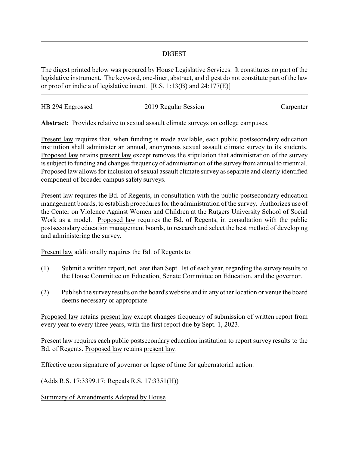## DIGEST

The digest printed below was prepared by House Legislative Services. It constitutes no part of the legislative instrument. The keyword, one-liner, abstract, and digest do not constitute part of the law or proof or indicia of legislative intent. [R.S. 1:13(B) and 24:177(E)]

| HB 294 Engrossed | 2019 Regular Session | Carpenter |
|------------------|----------------------|-----------|
|                  |                      |           |

**Abstract:** Provides relative to sexual assault climate surveys on college campuses.

Present law requires that, when funding is made available, each public postsecondary education institution shall administer an annual, anonymous sexual assault climate survey to its students. Proposed law retains present law except removes the stipulation that administration of the survey is subject to funding and changes frequency of administration of the survey from annual to triennial. Proposed law allows for inclusion of sexual assault climate survey as separate and clearly identified component of broader campus safety surveys.

Present law requires the Bd. of Regents, in consultation with the public postsecondary education management boards, to establish procedures for the administration of the survey. Authorizes use of the Center on Violence Against Women and Children at the Rutgers University School of Social Work as a model. Proposed law requires the Bd. of Regents, in consultation with the public postsecondary education management boards, to research and select the best method of developing and administering the survey.

Present law additionally requires the Bd. of Regents to:

- (1) Submit a written report, not later than Sept. 1st of each year, regarding the survey results to the House Committee on Education, Senate Committee on Education, and the governor.
- (2) Publish the survey results on the board's website and in any other location or venue the board deems necessary or appropriate.

Proposed law retains present law except changes frequency of submission of written report from every year to every three years, with the first report due by Sept. 1, 2023.

Present law requires each public postsecondary education institution to report survey results to the Bd. of Regents. Proposed law retains present law.

Effective upon signature of governor or lapse of time for gubernatorial action.

(Adds R.S. 17:3399.17; Repeals R.S. 17:3351(H))

Summary of Amendments Adopted by House